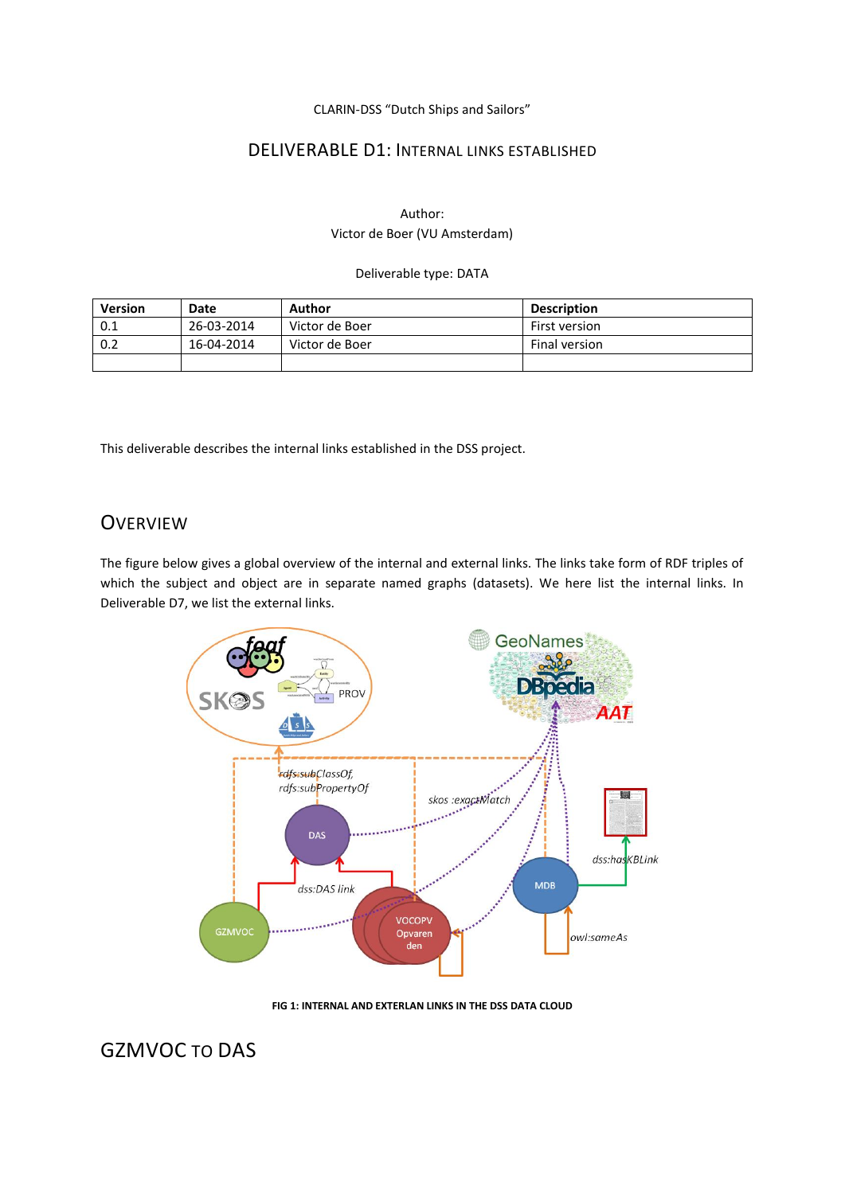CLARIN-DSS "Dutch Ships and Sailors"

### DELIVERABLE D1: INTERNAL LINKS ESTABLISHED

#### Author: Victor de Boer (VU Amsterdam)

#### Deliverable type: DATA

| <b>Version</b>    | Date       | Author         | <b>Description</b> |
|-------------------|------------|----------------|--------------------|
| 0.1               | 26-03-2014 | Victor de Boer | First version      |
| $\vert 0.2 \vert$ | 16-04-2014 | Victor de Boer | Final version      |
|                   |            |                |                    |

This deliverable describes the internal links established in the DSS project.

# **OVERVIEW**

The figure below gives a global overview of the internal and external links. The links take form of RDF triples of which the subject and object are in separate named graphs (datasets). We here list the internal links. In Deliverable D7, we list the external links.



**FIG 1: INTERNAL AND EXTERLAN LINKS IN THE DSS DATA CLOUD**

# GZMVOC TO DAS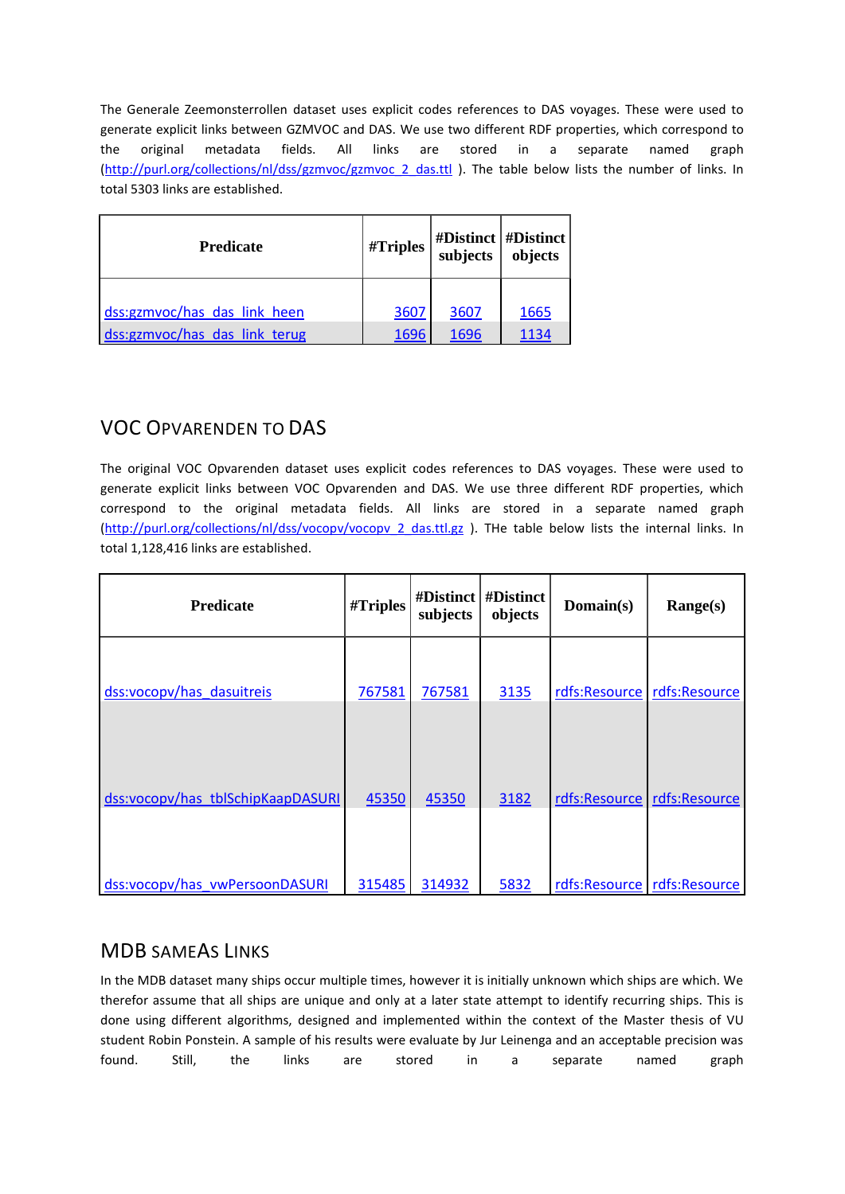The Generale Zeemonsterrollen dataset uses explicit codes references to DAS voyages. These were used to generate explicit links between GZMVOC and DAS. We use two different RDF properties, which correspond to the original metadata fields. All links are stored in a separate named graph [\(http://purl.org/collections/nl/dss/gzmvoc/gzmvoc\\_2\\_das.ttl](http://purl.org/collections/nl/dss/gzmvoc/gzmvoc_2_das.ttl) ). The table below lists the number of links. In total 5303 links are established.

| <b>Predicate</b>              | #Triples | $\begin{array}{c c} \text{\#Distinct} & \text{\#Distinct} \\ \text{subjects} & \text{objects} \end{array}$ |      |
|-------------------------------|----------|------------------------------------------------------------------------------------------------------------|------|
| dss:gzmvoc/has das link heen  | 3607     | 3607                                                                                                       | 1665 |
| dss:gzmvoc/has das link terug | 1696     | 1696                                                                                                       | 1134 |

# VOC OPVARENDEN TO DAS

The original VOC Opvarenden dataset uses explicit codes references to DAS voyages. These were used to generate explicit links between VOC Opvarenden and DAS. We use three different RDF properties, which correspond to the original metadata fields. All links are stored in a separate named graph [\(http://purl.org/collections/nl/dss/vocopv/vocopv\\_2\\_das.ttl.gz](http://purl.org/collections/nl/dss/vocopv/vocopv_2_das.ttl.gz) ). THe table below lists the internal links. In total 1,128,416 links are established.

| <b>Predicate</b>                  | #Triples | #Distinct<br>subjects | #Distinct<br>objects | Domain(s)     | Range(s)      |
|-----------------------------------|----------|-----------------------|----------------------|---------------|---------------|
| dss:vocopy/has dasuitreis         | 767581   | 767581                | 3135                 | rdfs:Resource | rdfs:Resource |
| dss:vocopy/has_tblSchipKaapDASURI | 45350    | 45350                 | 3182                 | rdfs:Resource | rdfs:Resource |
| dss:vocopv/has vwPersoonDASURI    | 315485   | 314932                | 5832                 | rdfs:Resource | rdfs:Resource |

## MDB SAMEAS LINKS

In the MDB dataset many ships occur multiple times, however it is initially unknown which ships are which. We therefor assume that all ships are unique and only at a later state attempt to identify recurring ships. This is done using different algorithms, designed and implemented within the context of the Master thesis of VU student Robin Ponstein. A sample of his results were evaluate by Jur Leinenga and an acceptable precision was found. Still, the links are stored in a separate named graph